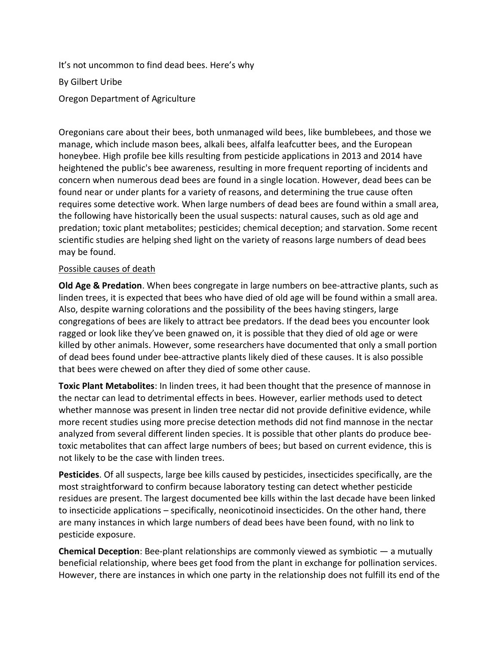It's not uncommon to find dead bees. Here's why By Gilbert Uribe Oregon Department of Agriculture

Oregonians care about their bees, both unmanaged wild bees, like bumblebees, and those we manage, which include mason bees, alkali bees, alfalfa leafcutter bees, and the European honeybee. High profile bee kills resulting from pesticide applications in 2013 and 2014 have heightened the public's bee awareness, resulting in more frequent reporting of incidents and concern when numerous dead bees are found in a single location. However, dead bees can be found near or under plants for a variety of reasons, and determining the true cause often requires some detective work. When large numbers of dead bees are found within a small area, the following have historically been the usual suspects: natural causes, such as old age and predation; toxic plant metabolites; pesticides; chemical deception; and starvation. Some recent scientific studies are helping shed light on the variety of reasons large numbers of dead bees may be found.

## Possible causes of death

**Old Age & Predation**. When bees congregate in large numbers on bee-attractive plants, such as linden trees, it is expected that bees who have died of old age will be found within a small area. Also, despite warning colorations and the possibility of the bees having stingers, large congregations of bees are likely to attract bee predators. If the dead bees you encounter look ragged or look like they've been gnawed on, it is possible that they died of old age or were killed by other animals. However, some researchers have documented that only a small portion of dead bees found under bee-attractive plants likely died of these causes. It is also possible that bees were chewed on after they died of some other cause.

**Toxic Plant Metabolites**: In linden trees, it had been thought that the presence of mannose in the nectar can lead to detrimental effects in bees. However, earlier methods used to detect whether mannose was present in linden tree nectar did not provide definitive evidence, while more recent studies using more precise detection methods did not find mannose in the nectar analyzed from several different linden species. It is possible that other plants do produce beetoxic metabolites that can affect large numbers of bees; but based on current evidence, this is not likely to be the case with linden trees.

**Pesticides**. Of all suspects, large bee kills caused by pesticides, insecticides specifically, are the most straightforward to confirm because laboratory testing can detect whether pesticide residues are present. The largest documented bee kills within the last decade have been linked to insecticide applications – specifically, neonicotinoid insecticides. On the other hand, there are many instances in which large numbers of dead bees have been found, with no link to pesticide exposure.

**Chemical Deception**: Bee-plant relationships are commonly viewed as symbiotic — a mutually beneficial relationship, where bees get food from the plant in exchange for pollination services. However, there are instances in which one party in the relationship does not fulfill its end of the